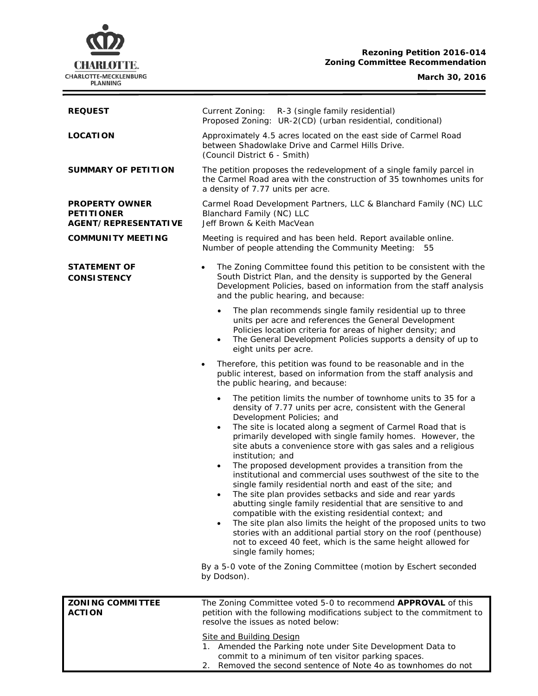# **CHARLOTTE.** CHARLOTTE-MECKLENBURG<br>PLANNING

## **Rezoning Petition 2016-014 Zoning Committee Recommendation**

**March 30, 2016**

Ξ

| <b>REQUEST</b>                                                            | Current Zoning:<br>R-3 (single family residential)<br>Proposed Zoning: UR-2(CD) (urban residential, conditional)                                                                                                                                                                                                                                                                                                                                                                                                                                                                                                                                                                                                                                                                                                                                                                                                                                                                                                                                                                                                                |  |
|---------------------------------------------------------------------------|---------------------------------------------------------------------------------------------------------------------------------------------------------------------------------------------------------------------------------------------------------------------------------------------------------------------------------------------------------------------------------------------------------------------------------------------------------------------------------------------------------------------------------------------------------------------------------------------------------------------------------------------------------------------------------------------------------------------------------------------------------------------------------------------------------------------------------------------------------------------------------------------------------------------------------------------------------------------------------------------------------------------------------------------------------------------------------------------------------------------------------|--|
| <b>LOCATION</b>                                                           | Approximately 4.5 acres located on the east side of Carmel Road<br>between Shadowlake Drive and Carmel Hills Drive.<br>(Council District 6 - Smith)                                                                                                                                                                                                                                                                                                                                                                                                                                                                                                                                                                                                                                                                                                                                                                                                                                                                                                                                                                             |  |
| <b>SUMMARY OF PETITION</b>                                                | The petition proposes the redevelopment of a single family parcel in<br>the Carmel Road area with the construction of 35 townhomes units for<br>a density of 7.77 units per acre.                                                                                                                                                                                                                                                                                                                                                                                                                                                                                                                                                                                                                                                                                                                                                                                                                                                                                                                                               |  |
| <b>PROPERTY OWNER</b><br><b>PETITIONER</b><br><b>AGENT/REPRESENTATIVE</b> | Carmel Road Development Partners, LLC & Blanchard Family (NC) LLC<br>Blanchard Family (NC) LLC<br>Jeff Brown & Keith MacVean                                                                                                                                                                                                                                                                                                                                                                                                                                                                                                                                                                                                                                                                                                                                                                                                                                                                                                                                                                                                    |  |
| <b>COMMUNITY MEETING</b>                                                  | Meeting is required and has been held. Report available online.<br>Number of people attending the Community Meeting:<br>55                                                                                                                                                                                                                                                                                                                                                                                                                                                                                                                                                                                                                                                                                                                                                                                                                                                                                                                                                                                                      |  |
| <b>STATEMENT OF</b><br><b>CONSISTENCY</b>                                 | The Zoning Committee found this petition to be consistent with the<br>South District Plan, and the density is supported by the General<br>Development Policies, based on information from the staff analysis<br>and the public hearing, and because:                                                                                                                                                                                                                                                                                                                                                                                                                                                                                                                                                                                                                                                                                                                                                                                                                                                                            |  |
|                                                                           | The plan recommends single family residential up to three<br>$\bullet$<br>units per acre and references the General Development<br>Policies location criteria for areas of higher density; and<br>The General Development Policies supports a density of up to<br>$\bullet$<br>eight units per acre.                                                                                                                                                                                                                                                                                                                                                                                                                                                                                                                                                                                                                                                                                                                                                                                                                            |  |
|                                                                           | Therefore, this petition was found to be reasonable and in the<br>$\bullet$<br>public interest, based on information from the staff analysis and<br>the public hearing, and because:                                                                                                                                                                                                                                                                                                                                                                                                                                                                                                                                                                                                                                                                                                                                                                                                                                                                                                                                            |  |
|                                                                           | The petition limits the number of townhome units to 35 for a<br>$\bullet$<br>density of 7.77 units per acre, consistent with the General<br>Development Policies; and<br>The site is located along a segment of Carmel Road that is<br>$\bullet$<br>primarily developed with single family homes. However, the<br>site abuts a convenience store with gas sales and a religious<br>institution; and<br>The proposed development provides a transition from the<br>$\bullet$<br>institutional and commercial uses southwest of the site to the<br>single family residential north and east of the site; and<br>The site plan provides setbacks and side and rear yards<br>abutting single family residential that are sensitive to and<br>compatible with the existing residential context; and<br>The site plan also limits the height of the proposed units to two<br>$\bullet$<br>stories with an additional partial story on the roof (penthouse)<br>not to exceed 40 feet, which is the same height allowed for<br>single family homes;<br>By a 5-0 vote of the Zoning Committee (motion by Eschert seconded<br>by Dodson). |  |
|                                                                           |                                                                                                                                                                                                                                                                                                                                                                                                                                                                                                                                                                                                                                                                                                                                                                                                                                                                                                                                                                                                                                                                                                                                 |  |
| <b>ZONING COMMITTEE</b><br><b>ACTION</b>                                  | The Zoning Committee voted 5-0 to recommend APPROVAL of this<br>petition with the following modifications subject to the commitment to<br>resolve the issues as noted below:                                                                                                                                                                                                                                                                                                                                                                                                                                                                                                                                                                                                                                                                                                                                                                                                                                                                                                                                                    |  |
|                                                                           | <b>Site and Building Design</b><br>1. Amended the Parking note under Site Development Data to<br>commit to a minimum of ten visitor parking spaces.<br>2. Removed the second sentence of Note 4o as townhomes do not                                                                                                                                                                                                                                                                                                                                                                                                                                                                                                                                                                                                                                                                                                                                                                                                                                                                                                            |  |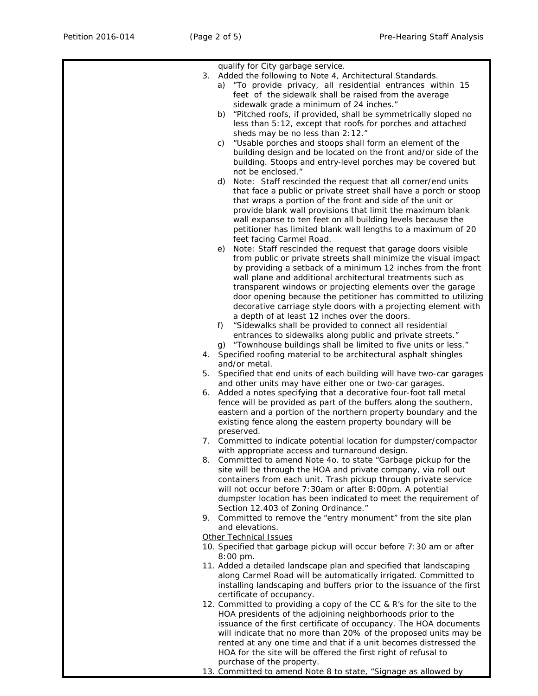|    | qualify for City garbage service.                                     |
|----|-----------------------------------------------------------------------|
|    | 3. Added the following to Note 4, Architectural Standards.            |
|    |                                                                       |
|    | a) "To provide privacy, all residential entrances within 15           |
|    | feet of the sidewalk shall be raised from the average                 |
|    | sidewalk grade a minimum of 24 inches."                               |
|    | "Pitched roofs, if provided, shall be symmetrically sloped no<br>b)   |
|    |                                                                       |
|    | less than 5:12, except that roofs for porches and attached            |
|    | sheds may be no less than 2:12."                                      |
|    | "Usable porches and stoops shall form an element of the<br>C)         |
|    |                                                                       |
|    | building design and be located on the front and/or side of the        |
|    | building. Stoops and entry-level porches may be covered but           |
|    | not be enclosed."                                                     |
|    |                                                                       |
|    | d)<br>Note: Staff rescinded the request that all corner/end units     |
|    | that face a public or private street shall have a porch or stoop      |
|    | that wraps a portion of the front and side of the unit or             |
|    | provide blank wall provisions that limit the maximum blank            |
|    |                                                                       |
|    | wall expanse to ten feet on all building levels because the           |
|    | petitioner has limited blank wall lengths to a maximum of 20          |
|    | feet facing Carmel Road.                                              |
|    |                                                                       |
|    | Note: Staff rescinded the request that garage doors visible<br>e)     |
|    | from public or private streets shall minimize the visual impact       |
|    | by providing a setback of a minimum 12 inches from the front          |
|    |                                                                       |
|    | wall plane and additional architectural treatments such as            |
|    | transparent windows or projecting elements over the garage            |
|    | door opening because the petitioner has committed to utilizing        |
|    | decorative carriage style doors with a projecting element with        |
|    |                                                                       |
|    | a depth of at least 12 inches over the doors.                         |
|    | "Sidewalks shall be provided to connect all residential<br>f)         |
|    | entrances to sidewalks along public and private streets."             |
|    |                                                                       |
|    | "Townhouse buildings shall be limited to five units or less."<br>q)   |
|    | 4. Specified roofing material to be architectural asphalt shingles    |
|    | and/or metal.                                                         |
|    |                                                                       |
| 5. | Specified that end units of each building will have two-car garages   |
|    | and other units may have either one or two-car garages.               |
|    | 6. Added a notes specifying that a decorative four-foot tall metal    |
|    | fence will be provided as part of the buffers along the southern,     |
|    |                                                                       |
|    | eastern and a portion of the northern property boundary and the       |
|    | existing fence along the eastern property boundary will be            |
|    | preserved.                                                            |
|    |                                                                       |
|    | 7. Committed to indicate potential location for dumpster/compactor    |
|    | with appropriate access and turnaround design.                        |
| 8. | Committed to amend Note 4o. to state "Garbage pickup for the          |
|    |                                                                       |
|    | site will be through the HOA and private company, via roll out        |
|    | containers from each unit. Trash pickup through private service       |
|    | will not occur before 7:30am or after 8:00pm. A potential             |
|    | dumpster location has been indicated to meet the requirement of       |
|    |                                                                       |
|    | Section 12.403 of Zoning Ordinance."                                  |
|    | 9. Committed to remove the "entry monument" from the site plan        |
|    | and elevations.                                                       |
|    |                                                                       |
|    | <b>Other Technical Issues</b>                                         |
|    | 10. Specified that garbage pickup will occur before 7:30 am or after  |
|    | 8:00 pm.                                                              |
|    | 11. Added a detailed landscape plan and specified that landscaping    |
|    |                                                                       |
|    | along Carmel Road will be automatically irrigated. Committed to       |
|    | installing landscaping and buffers prior to the issuance of the first |
|    | certificate of occupancy.                                             |
|    |                                                                       |
|    | 12. Committed to providing a copy of the CC & R's for the site to the |
|    | HOA presidents of the adjoining neighborhoods prior to the            |
|    | issuance of the first certificate of occupancy. The HOA documents     |
|    |                                                                       |
|    | will indicate that no more than 20% of the proposed units may be      |
|    | rented at any one time and that if a unit becomes distressed the      |
|    | HOA for the site will be offered the first right of refusal to        |
|    | purchase of the property.                                             |
|    |                                                                       |
|    | 13. Committed to amend Note 8 to state, "Signage as allowed by        |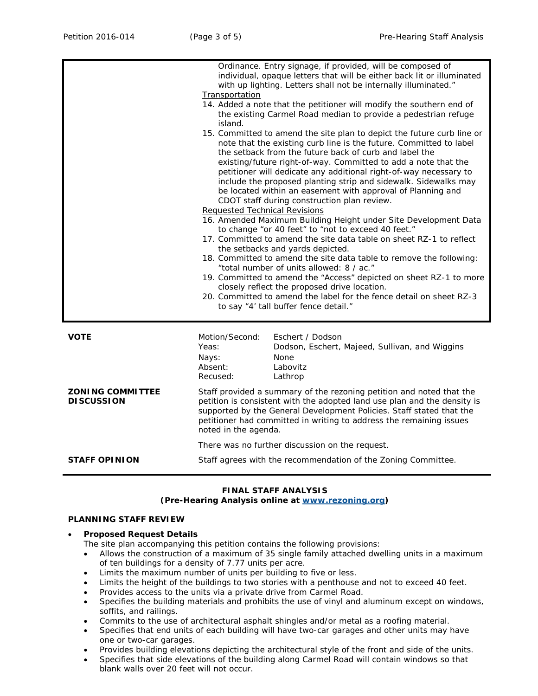|                                              | Ordinance. Entry signage, if provided, will be composed of                                                                                                                                                                                                                                                                                                                                                                                                                                                                                                             |  |  |
|----------------------------------------------|------------------------------------------------------------------------------------------------------------------------------------------------------------------------------------------------------------------------------------------------------------------------------------------------------------------------------------------------------------------------------------------------------------------------------------------------------------------------------------------------------------------------------------------------------------------------|--|--|
|                                              | individual, opaque letters that will be either back lit or illuminated<br>with up lighting. Letters shall not be internally illuminated."                                                                                                                                                                                                                                                                                                                                                                                                                              |  |  |
|                                              | Transportation                                                                                                                                                                                                                                                                                                                                                                                                                                                                                                                                                         |  |  |
|                                              | 14. Added a note that the petitioner will modify the southern end of<br>the existing Carmel Road median to provide a pedestrian refuge<br>island.                                                                                                                                                                                                                                                                                                                                                                                                                      |  |  |
|                                              | 15. Committed to amend the site plan to depict the future curb line or<br>note that the existing curb line is the future. Committed to label<br>the setback from the future back of curb and label the<br>existing/future right-of-way. Committed to add a note that the<br>petitioner will dedicate any additional right-of-way necessary to<br>include the proposed planting strip and sidewalk. Sidewalks may<br>be located within an easement with approval of Planning and<br>CDOT staff during construction plan review.<br><b>Requested Technical Revisions</b> |  |  |
|                                              | 16. Amended Maximum Building Height under Site Development Data<br>to change "or 40 feet" to "not to exceed 40 feet."<br>17. Committed to amend the site data table on sheet RZ-1 to reflect<br>the setbacks and yards depicted.<br>18. Committed to amend the site data table to remove the following:<br>"total number of units allowed: 8 / ac."                                                                                                                                                                                                                    |  |  |
|                                              | 19. Committed to amend the "Access" depicted on sheet RZ-1 to more<br>closely reflect the proposed drive location.<br>20. Committed to amend the label for the fence detail on sheet RZ-3<br>to say "4' tall buffer fence detail."                                                                                                                                                                                                                                                                                                                                     |  |  |
| <b>VOTE</b>                                  | Motion/Second:<br>Eschert / Dodson<br>Yeas:<br>Dodson, Eschert, Majeed, Sullivan, and Wiggins<br><b>None</b><br>Nays:<br>Absent:<br>Labovitz<br>Recused:<br>Lathrop                                                                                                                                                                                                                                                                                                                                                                                                    |  |  |
| <b>ZONING COMMITTEE</b><br><b>DISCUSSION</b> | Staff provided a summary of the rezoning petition and noted that the<br>petition is consistent with the adopted land use plan and the density is<br>supported by the General Development Policies. Staff stated that the<br>petitioner had committed in writing to address the remaining issues<br>noted in the agenda.                                                                                                                                                                                                                                                |  |  |
|                                              | There was no further discussion on the request.                                                                                                                                                                                                                                                                                                                                                                                                                                                                                                                        |  |  |
| <b>STAFF OPINION</b>                         | Staff agrees with the recommendation of the Zoning Committee.                                                                                                                                                                                                                                                                                                                                                                                                                                                                                                          |  |  |

#### **FINAL STAFF ANALYSIS (Pre-Hearing Analysis online at [www.rezoning.org\)](http://www.rezoning.org/)**

# **PLANNING STAFF REVIEW**

### • **Proposed Request Details**

The site plan accompanying this petition contains the following provisions:

- Allows the construction of a maximum of 35 single family attached dwelling units in a maximum of ten buildings for a density of 7.77 units per acre.
- Limits the maximum number of units per building to five or less.
- Limits the height of the buildings to two stories with a penthouse and not to exceed 40 feet.
- Provides access to the units via a private drive from Carmel Road.
- Specifies the building materials and prohibits the use of vinyl and aluminum except on windows, soffits, and railings.
- Commits to the use of architectural asphalt shingles and/or metal as a roofing material.
- Specifies that end units of each building will have two-car garages and other units may have one or two-car garages.
- Provides building elevations depicting the architectural style of the front and side of the units.
- Specifies that side elevations of the building along Carmel Road will contain windows so that blank walls over 20 feet will not occur.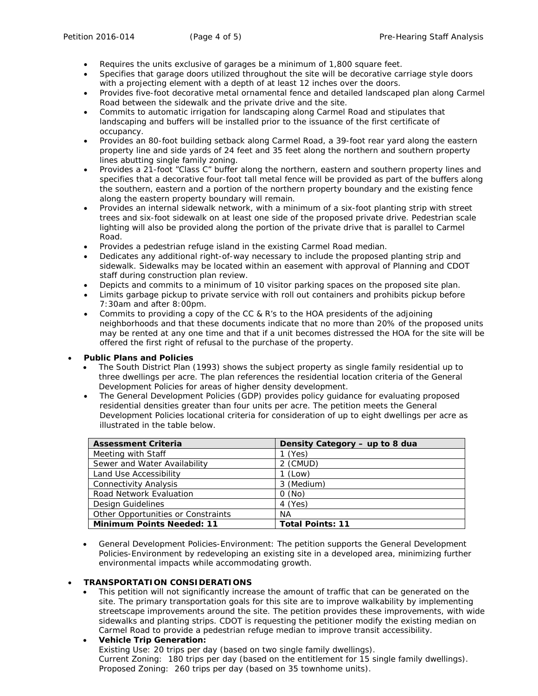- Requires the units exclusive of garages be a minimum of 1,800 square feet.
- Specifies that garage doors utilized throughout the site will be decorative carriage style doors with a projecting element with a depth of at least 12 inches over the doors.
- Provides five-foot decorative metal ornamental fence and detailed landscaped plan along Carmel Road between the sidewalk and the private drive and the site.
- Commits to automatic irrigation for landscaping along Carmel Road and stipulates that landscaping and buffers will be installed prior to the issuance of the first certificate of occupancy.
- Provides an 80-foot building setback along Carmel Road, a 39-foot rear yard along the eastern property line and side yards of 24 feet and 35 feet along the northern and southern property lines abutting single family zoning.
- Provides a 21-foot "Class C" buffer along the northern, eastern and southern property lines and specifies that a decorative four-foot tall metal fence will be provided as part of the buffers along the southern, eastern and a portion of the northern property boundary and the existing fence along the eastern property boundary will remain.
- Provides an internal sidewalk network, with a minimum of a six-foot planting strip with street trees and six-foot sidewalk on at least one side of the proposed private drive. Pedestrian scale lighting will also be provided along the portion of the private drive that is parallel to Carmel Road.
- Provides a pedestrian refuge island in the existing Carmel Road median.
- Dedicates any additional right-of-way necessary to include the proposed planting strip and sidewalk. Sidewalks may be located within an easement with approval of Planning and CDOT staff during construction plan review.
- Depicts and commits to a minimum of 10 visitor parking spaces on the proposed site plan.
- Limits garbage pickup to private service with roll out containers and prohibits pickup before 7:30am and after 8:00pm.
- Commits to providing a copy of the CC & R's to the HOA presidents of the adjoining neighborhoods and that these documents indicate that no more than 20% of the proposed units may be rented at any one time and that if a unit becomes distressed the HOA for the site will be offered the first right of refusal to the purchase of the property.

### • **Public Plans and Policies**

- The *South District Plan* (1993) shows the subject property as single family residential up to three dwellings per acre. The plan references the residential location criteria of the *General Development Policies* for areas of higher density development.
- The *General Development Policies* (GDP) provides policy guidance for evaluating proposed residential densities greater than four units per acre. The petition meets the General Development Policies locational criteria for consideration of up to eight dwellings per acre as illustrated in the table below.

| <b>Assessment Criteria</b>         | Density Category - up to 8 dua |
|------------------------------------|--------------------------------|
| Meeting with Staff                 | (Yes)                          |
| Sewer and Water Availability       | 2 (CMUD)                       |
| Land Use Accessibility             | $1$ (Low)                      |
| <b>Connectivity Analysis</b>       | 3 (Medium)                     |
| Road Network Evaluation            | 0(No)                          |
| Design Guidelines                  | 4 (Yes)                        |
| Other Opportunities or Constraints | ΝA                             |
| <b>Minimum Points Needed: 11</b>   | <b>Total Points: 11</b>        |

• *General Development Policies-Environment:* The petition supports the *General Development Policies-Environment* by redeveloping an existing site in a developed area, minimizing further environmental impacts while accommodating growth.

### • **TRANSPORTATION CONSIDERATIONS**

• This petition will not significantly increase the amount of traffic that can be generated on the site. The primary transportation goals for this site are to improve walkability by implementing streetscape improvements around the site. The petition provides these improvements, with wide sidewalks and planting strips. CDOT is requesting the petitioner modify the existing median on Carmel Road to provide a pedestrian refuge median to improve transit accessibility.

• **Vehicle Trip Generation:** Existing Use: 20 trips per day (based on two single family dwellings). Current Zoning: 180 trips per day (based on the entitlement for 15 single family dwellings). Proposed Zoning: 260 trips per day (based on 35 townhome units).